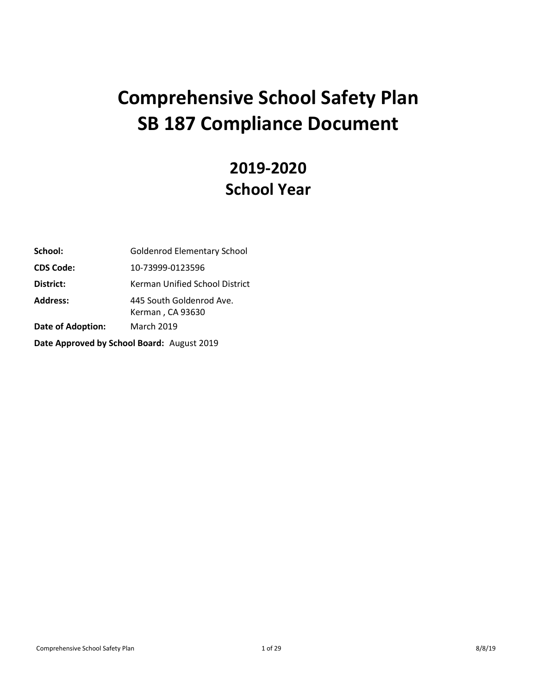# **Comprehensive School Safety Plan SB 187 Compliance Document**

# **2019-2020 School Year**

| School:                                    | <b>Goldenrod Elementary School</b>           |  |
|--------------------------------------------|----------------------------------------------|--|
| <b>CDS Code:</b>                           | 10-73999-0123596                             |  |
| District:                                  | Kerman Unified School District               |  |
| <b>Address:</b>                            | 445 South Goldenrod Ave.<br>Kerman, CA 93630 |  |
| Date of Adoption:                          | <b>March 2019</b>                            |  |
| Date Approved by School Board: August 2019 |                                              |  |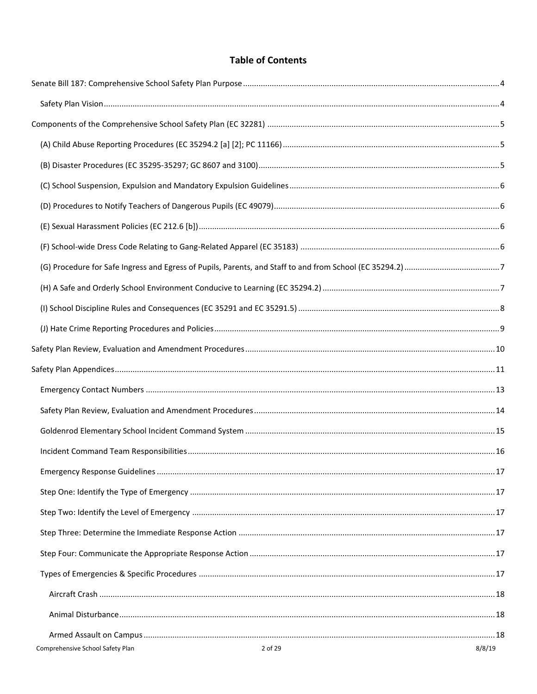# **Table of Contents**

| 2 of 29<br>Comprehensive School Safety Plan | 8/8/19 |
|---------------------------------------------|--------|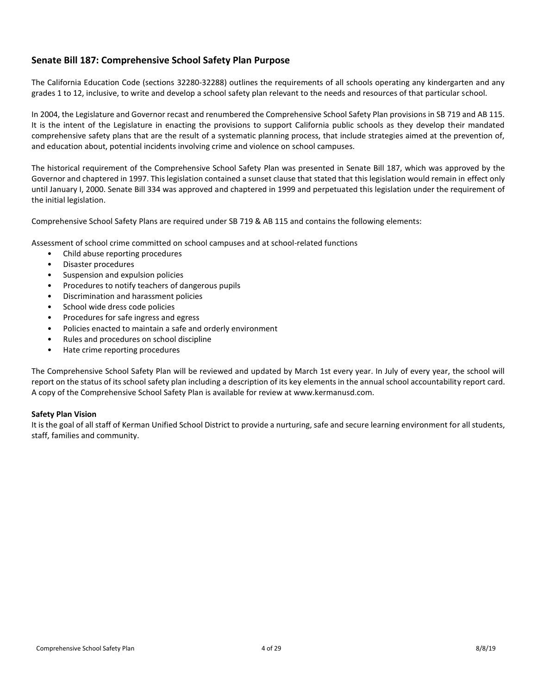## <span id="page-3-0"></span>**Senate Bill 187: Comprehensive School Safety Plan Purpose**

The California Education Code (sections 32280-32288) outlines the requirements of all schools operating any kindergarten and any grades 1 to 12, inclusive, to write and develop a school safety plan relevant to the needs and resources of that particular school.

In 2004, the Legislature and Governor recast and renumbered the Comprehensive School Safety Plan provisions in SB 719 and AB 115. It is the intent of the Legislature in enacting the provisions to support California public schools as they develop their mandated comprehensive safety plans that are the result of a systematic planning process, that include strategies aimed at the prevention of, and education about, potential incidents involving crime and violence on school campuses.

The historical requirement of the Comprehensive School Safety Plan was presented in Senate Bill 187, which was approved by the Governor and chaptered in 1997. This legislation contained a sunset clause that stated that this legislation would remain in effect only until January I, 2000. Senate Bill 334 was approved and chaptered in 1999 and perpetuated this legislation under the requirement of the initial legislation.

Comprehensive School Safety Plans are required under SB 719 & AB 115 and contains the following elements:

Assessment of school crime committed on school campuses and at school-related functions

- Child abuse reporting procedures
- Disaster procedures
- Suspension and expulsion policies
- Procedures to notify teachers of dangerous pupils
- Discrimination and harassment policies
- School wide dress code policies
- Procedures for safe ingress and egress
- Policies enacted to maintain a safe and orderly environment
- Rules and procedures on school discipline
- Hate crime reporting procedures

The Comprehensive School Safety Plan will be reviewed and updated by March 1st every year. In July of every year, the school will report on the status of its school safety plan including a description of its key elements in the annual school accountability report card. A copy of the Comprehensive School Safety Plan is available for review at www.kermanusd.com.

#### <span id="page-3-1"></span>**Safety Plan Vision**

It is the goal of all staff of Kerman Unified School District to provide a nurturing, safe and secure learning environment for all students, staff, families and community.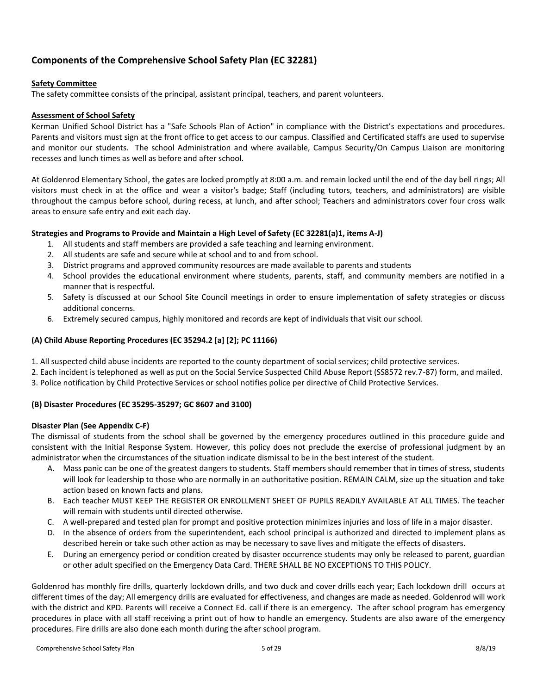# <span id="page-4-0"></span>**Components of the Comprehensive School Safety Plan (EC 32281)**

## **Safety Committee**

The safety committee consists of the principal, assistant principal, teachers, and parent volunteers.

## **Assessment of School Safety**

Kerman Unified School District has a "Safe Schools Plan of Action" in compliance with the District's expectations and procedures. Parents and visitors must sign at the front office to get access to our campus. Classified and Certificated staffs are used to supervise and monitor our students. The school Administration and where available, Campus Security/On Campus Liaison are monitoring recesses and lunch times as well as before and after school.

At Goldenrod Elementary School, the gates are locked promptly at 8:00 a.m. and remain locked until the end of the day bell rings; All visitors must check in at the office and wear a visitor's badge; Staff (including tutors, teachers, and administrators) are visible throughout the campus before school, during recess, at lunch, and after school; Teachers and administrators cover four cross walk areas to ensure safe entry and exit each day.

#### **Strategies and Programs to Provide and Maintain a High Level of Safety (EC 32281(a)1, items A-J)**

- 1. All students and staff members are provided a safe teaching and learning environment.
- 2. All students are safe and secure while at school and to and from school.
- 3. District programs and approved community resources are made available to parents and students
- 4. School provides the educational environment where students, parents, staff, and community members are notified in a manner that is respectful.
- 5. Safety is discussed at our School Site Council meetings in order to ensure implementation of safety strategies or discuss additional concerns.
- 6. Extremely secured campus, highly monitored and records are kept of individuals that visit our school.

#### <span id="page-4-1"></span>**(A) Child Abuse Reporting Procedures (EC 35294.2 [a] [2]; PC 11166)**

1. All suspected child abuse incidents are reported to the county department of social services; child protective services.

2. Each incident is telephoned as well as put on the Social Service Suspected Child Abuse Report (SS8572 rev.7-87) form, and mailed. 3. Police notification by Child Protective Services or school notifies police per directive of Child Protective Services.

## <span id="page-4-2"></span>**(B) Disaster Procedures (EC 35295-35297; GC 8607 and 3100)**

#### **Disaster Plan (See Appendix C-F)**

The dismissal of students from the school shall be governed by the emergency procedures outlined in this procedure guide and consistent with the Initial Response System. However, this policy does not preclude the exercise of professional judgment by an administrator when the circumstances of the situation indicate dismissal to be in the best interest of the student.

- A. Mass panic can be one of the greatest dangers to students. Staff members should remember that in times of stress, students will look for leadership to those who are normally in an authoritative position. REMAIN CALM, size up the situation and take action based on known facts and plans.
- B. Each teacher MUST KEEP THE REGISTER OR ENROLLMENT SHEET OF PUPILS READILY AVAILABLE AT ALL TIMES. The teacher will remain with students until directed otherwise.
- C. A well-prepared and tested plan for prompt and positive protection minimizes injuries and loss of life in a major disaster.
- D. In the absence of orders from the superintendent, each school principal is authorized and directed to implement plans as described herein or take such other action as may be necessary to save lives and mitigate the effects of disasters.
- E. During an emergency period or condition created by disaster occurrence students may only be released to parent, guardian or other adult specified on the Emergency Data Card. THERE SHALL BE NO EXCEPTIONS TO THIS POLICY.

Goldenrod has monthly fire drills, quarterly lockdown drills, and two duck and cover drills each year; Each lockdown drill occurs at different times of the day; All emergency drills are evaluated for effectiveness, and changes are made as needed. Goldenrod will work with the district and KPD. Parents will receive a Connect Ed. call if there is an emergency. The after school program has emergency procedures in place with all staff receiving a print out of how to handle an emergency. Students are also aware of the emergency procedures. Fire drills are also done each month during the after school program.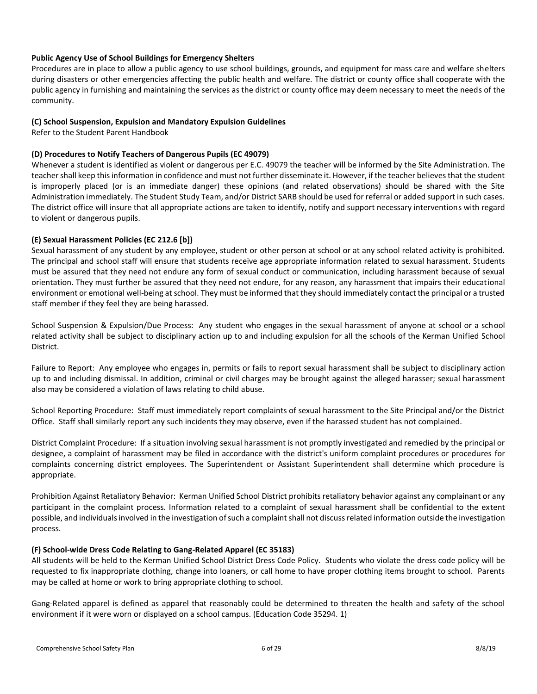## **Public Agency Use of School Buildings for Emergency Shelters**

Procedures are in place to allow a public agency to use school buildings, grounds, and equipment for mass care and welfare shelters during disasters or other emergencies affecting the public health and welfare. The district or county office shall cooperate with the public agency in furnishing and maintaining the services as the district or county office may deem necessary to meet the needs of the community.

## <span id="page-5-0"></span>**(C) School Suspension, Expulsion and Mandatory Expulsion Guidelines**

Refer to the Student Parent Handbook

## <span id="page-5-1"></span>**(D) Procedures to Notify Teachers of Dangerous Pupils (EC 49079)**

Whenever a student is identified as violent or dangerous per E.C. 49079 the teacher will be informed by the Site Administration. The teacher shall keep this information in confidence and must not further disseminate it. However, if the teacher believes that the student is improperly placed (or is an immediate danger) these opinions (and related observations) should be shared with the Site Administration immediately. The Student Study Team, and/or District SARB should be used for referral or added support in such cases. The district office will insure that all appropriate actions are taken to identify, notify and support necessary interventions with regard to violent or dangerous pupils.

## <span id="page-5-2"></span>**(E) Sexual Harassment Policies (EC 212.6 [b])**

Sexual harassment of any student by any employee, student or other person at school or at any school related activity is prohibited. The principal and school staff will ensure that students receive age appropriate information related to sexual harassment. Students must be assured that they need not endure any form of sexual conduct or communication, including harassment because of sexual orientation. They must further be assured that they need not endure, for any reason, any harassment that impairs their educational environment or emotional well-being at school. They must be informed that they should immediately contact the principal or a trusted staff member if they feel they are being harassed.

School Suspension & Expulsion/Due Process: Any student who engages in the sexual harassment of anyone at school or a school related activity shall be subject to disciplinary action up to and including expulsion for all the schools of the Kerman Unified School District.

Failure to Report: Any employee who engages in, permits or fails to report sexual harassment shall be subject to disciplinary action up to and including dismissal. In addition, criminal or civil charges may be brought against the alleged harasser; sexual harassment also may be considered a violation of laws relating to child abuse.

School Reporting Procedure: Staff must immediately report complaints of sexual harassment to the Site Principal and/or the District Office. Staff shall similarly report any such incidents they may observe, even if the harassed student has not complained.

District Complaint Procedure: If a situation involving sexual harassment is not promptly investigated and remedied by the principal or designee, a complaint of harassment may be filed in accordance with the district's uniform complaint procedures or procedures for complaints concerning district employees. The Superintendent or Assistant Superintendent shall determine which procedure is appropriate.

Prohibition Against Retaliatory Behavior: Kerman Unified School District prohibits retaliatory behavior against any complainant or any participant in the complaint process. Information related to a complaint of sexual harassment shall be confidential to the extent possible, and individuals involved in the investigation of such a complaint shall not discuss related information outside the investigation process.

## <span id="page-5-3"></span>**(F) School-wide Dress Code Relating to Gang-Related Apparel (EC 35183)**

All students will be held to the Kerman Unified School District Dress Code Policy. Students who violate the dress code policy will be requested to fix inappropriate clothing, change into loaners, or call home to have proper clothing items brought to school. Parents may be called at home or work to bring appropriate clothing to school.

Gang-Related apparel is defined as apparel that reasonably could be determined to threaten the health and safety of the school environment if it were worn or displayed on a school campus. (Education Code 35294. 1)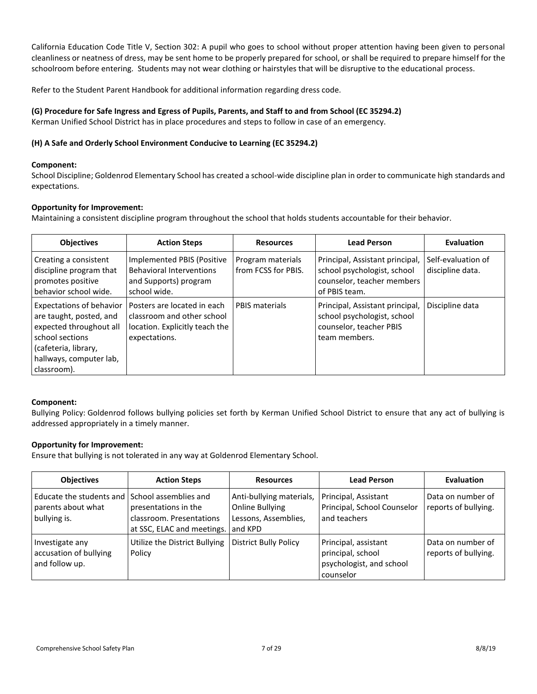California Education Code Title V, Section 302: A pupil who goes to school without proper attention having been given to personal cleanliness or neatness of dress, may be sent home to be properly prepared for school, or shall be required to prepare himself for the schoolroom before entering. Students may not wear clothing or hairstyles that will be disruptive to the educational process.

Refer to the Student Parent Handbook for additional information regarding dress code.

## <span id="page-6-0"></span>**(G) Procedure for Safe Ingress and Egress of Pupils, Parents, and Staff to and from School (EC 35294.2)**

Kerman Unified School District has in place procedures and steps to follow in case of an emergency.

## <span id="page-6-1"></span>**(H) A Safe and Orderly School Environment Conducive to Learning (EC 35294.2)**

## **Component:**

School Discipline; Goldenrod Elementary School has created a school-wide discipline plan in order to communicate high standards and expectations.

## **Opportunity for Improvement:**

Maintaining a consistent discipline program throughout the school that holds students accountable for their behavior.

| <b>Objectives</b>                                                                                                                                                          | <b>Action Steps</b>                                                                                          | <b>Resources</b>                         | <b>Lead Person</b>                                                                                            | Evaluation                             |
|----------------------------------------------------------------------------------------------------------------------------------------------------------------------------|--------------------------------------------------------------------------------------------------------------|------------------------------------------|---------------------------------------------------------------------------------------------------------------|----------------------------------------|
| Creating a consistent<br>discipline program that<br>promotes positive<br>behavior school wide.                                                                             | Implemented PBIS (Positive<br><b>Behavioral Interventions</b><br>and Supports) program<br>school wide.       | Program materials<br>from FCSS for PBIS. | Principal, Assistant principal,<br>school psychologist, school<br>counselor, teacher members<br>of PBIS team. | Self-evaluation of<br>discipline data. |
| <b>Expectations of behavior</b><br>are taught, posted, and<br>expected throughout all<br>school sections<br>(cafeteria, library,<br>hallways, computer lab,<br>classroom). | Posters are located in each<br>classroom and other school<br>location. Explicitly teach the<br>expectations. | <b>PBIS materials</b>                    | Principal, Assistant principal,<br>school psychologist, school<br>counselor, teacher PBIS<br>team members.    | Discipline data                        |

## **Component:**

Bullying Policy: Goldenrod follows bullying policies set forth by Kerman Unified School District to ensure that any act of bullying is addressed appropriately in a timely manner.

## **Opportunity for Improvement:**

Ensure that bullying is not tolerated in any way at Goldenrod Elementary School.

| <b>Objectives</b>                                                                      | <b>Action Steps</b>                                                            | <b>Resources</b>                                                               | <b>Lead Person</b>                                                                 | <b>Evaluation</b>                         |
|----------------------------------------------------------------------------------------|--------------------------------------------------------------------------------|--------------------------------------------------------------------------------|------------------------------------------------------------------------------------|-------------------------------------------|
| Educate the students and I School assemblies and<br>parents about what<br>bullying is. | presentations in the<br>classroom. Presentations<br>at SSC, ELAC and meetings. | Anti-bullying materials,<br>Online Bullying<br>Lessons, Assemblies,<br>and KPD | Principal, Assistant<br>Principal, School Counselor<br>and teachers                | Data on number of<br>reports of bullying. |
| Investigate any<br>accusation of bullying<br>and follow up.                            | Utilize the District Bullying<br>Policy                                        | <b>District Bully Policy</b>                                                   | Principal, assistant<br>principal, school<br>psychologist, and school<br>counselor | Data on number of<br>reports of bullying. |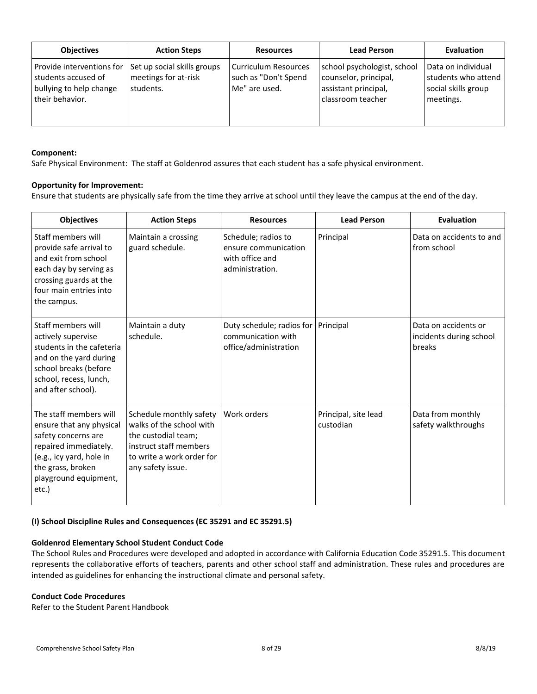| <b>Objectives</b>                                                                              | <b>Action Steps</b>                                              | <b>Resources</b>                                                     | <b>Lead Person</b>                                                                                | <b>Evaluation</b>                                                             |
|------------------------------------------------------------------------------------------------|------------------------------------------------------------------|----------------------------------------------------------------------|---------------------------------------------------------------------------------------------------|-------------------------------------------------------------------------------|
| Provide interventions for<br>students accused of<br>bullying to help change<br>their behavior. | Set up social skills groups<br>meetings for at-risk<br>students. | <b>Curriculum Resources</b><br>such as "Don't Spend<br>Me" are used. | school psychologist, school<br>counselor, principal,<br>assistant principal,<br>classroom teacher | Data on individual<br>students who attend<br>social skills group<br>meetings. |

#### **Component:**

Safe Physical Environment: The staff at Goldenrod assures that each student has a safe physical environment.

#### **Opportunity for Improvement:**

Ensure that students are physically safe from the time they arrive at school until they leave the campus at the end of the day.

| <b>Objectives</b>                                                                                                                                                                     | <b>Action Steps</b>                                                                                                                                    | <b>Resources</b>                                                                  | <b>Lead Person</b>                | <b>Evaluation</b>                                         |
|---------------------------------------------------------------------------------------------------------------------------------------------------------------------------------------|--------------------------------------------------------------------------------------------------------------------------------------------------------|-----------------------------------------------------------------------------------|-----------------------------------|-----------------------------------------------------------|
| Staff members will<br>provide safe arrival to<br>and exit from school<br>each day by serving as<br>crossing guards at the<br>four main entries into<br>the campus.                    | Maintain a crossing<br>guard schedule.                                                                                                                 | Schedule; radios to<br>ensure communication<br>with office and<br>administration. | Principal                         | Data on accidents to and<br>from school                   |
| Staff members will<br>actively supervise<br>students in the cafeteria<br>and on the yard during<br>school breaks (before<br>school, recess, lunch,<br>and after school).              | Maintain a duty<br>schedule.                                                                                                                           | Duty schedule; radios for<br>communication with<br>office/administration          | Principal                         | Data on accidents or<br>incidents during school<br>breaks |
| The staff members will<br>ensure that any physical<br>safety concerns are<br>repaired immediately.<br>(e.g., icy yard, hole in<br>the grass, broken<br>playground equipment,<br>etc.) | Schedule monthly safety<br>walks of the school with<br>the custodial team;<br>instruct staff members<br>to write a work order for<br>any safety issue. | Work orders                                                                       | Principal, site lead<br>custodian | Data from monthly<br>safety walkthroughs                  |

#### <span id="page-7-0"></span>**(I) School Discipline Rules and Consequences (EC 35291 and EC 35291.5)**

#### **Goldenrod Elementary School Student Conduct Code**

The School Rules and Procedures were developed and adopted in accordance with California Education Code 35291.5. This document represents the collaborative efforts of teachers, parents and other school staff and administration. These rules and procedures are intended as guidelines for enhancing the instructional climate and personal safety.

#### **Conduct Code Procedures**

Refer to the Student Parent Handbook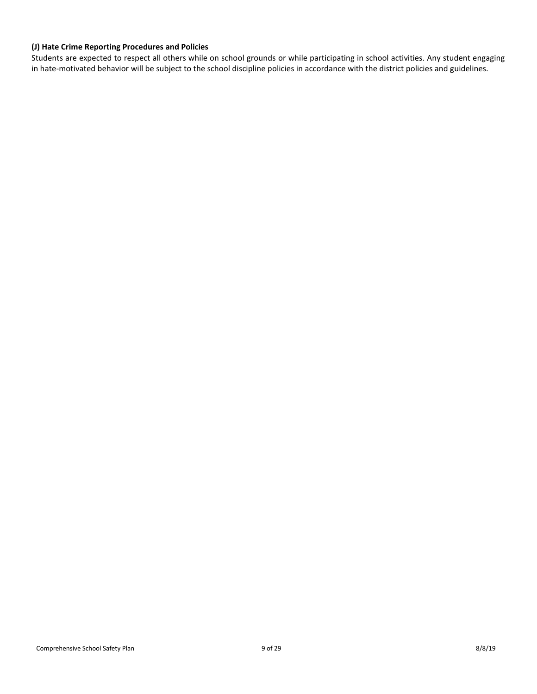## <span id="page-8-0"></span>**(J) Hate Crime Reporting Procedures and Policies**

Students are expected to respect all others while on school grounds or while participating in school activities. Any student engaging in hate-motivated behavior will be subject to the school discipline policies in accordance with the district policies and guidelines.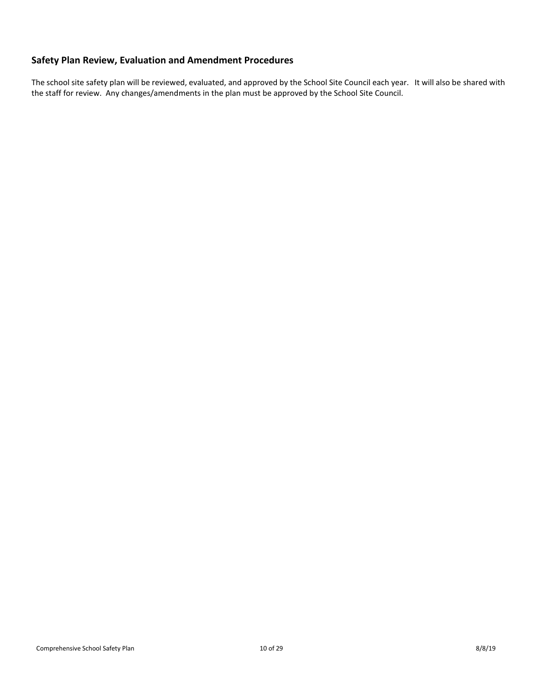# <span id="page-9-0"></span>**Safety Plan Review, Evaluation and Amendment Procedures**

The school site safety plan will be reviewed, evaluated, and approved by the School Site Council each year. It will also be shared with the staff for review. Any changes/amendments in the plan must be approved by the School Site Council.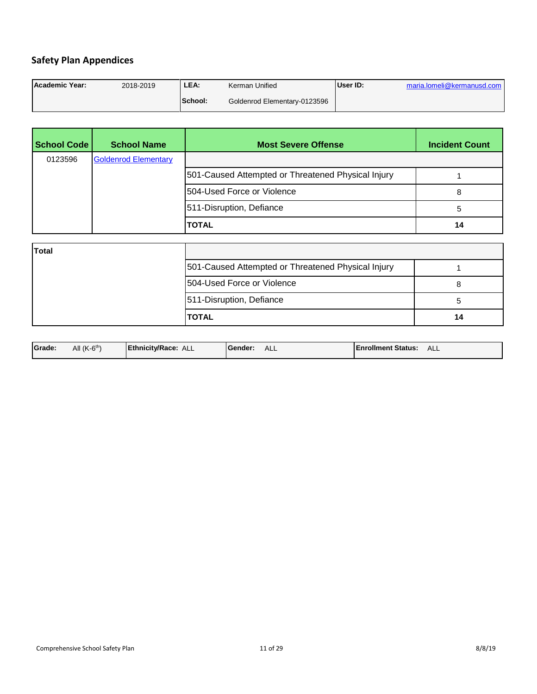# <span id="page-10-0"></span>**Safety Plan Appendices**

| Academic Year: | 2018-2019 | LEA.    | Kerman Unified               | User ID: | maria.lomeli@kermanusd.com |
|----------------|-----------|---------|------------------------------|----------|----------------------------|
|                |           | School: | Goldenrod Elementary-0123596 |          |                            |

| <b>School Code</b> | <b>School Name</b>          | <b>Most Severe Offense</b>                         | <b>Incident Count</b> |
|--------------------|-----------------------------|----------------------------------------------------|-----------------------|
| 0123596            | <b>Goldenrod Elementary</b> |                                                    |                       |
|                    |                             | 501-Caused Attempted or Threatened Physical Injury |                       |
|                    |                             | 504-Used Force or Violence                         | 8                     |
|                    |                             | 511-Disruption, Defiance                           | 5                     |
|                    |                             | <b>TOTAL</b>                                       | 14                    |
| <b>Total</b>       |                             |                                                    |                       |
|                    |                             | 501-Caused Attempted or Threatened Physical Injury |                       |
|                    |                             | 504-Used Force or Violence                         | 8                     |
|                    |                             | 511-Disruption, Defiance                           | 5                     |
|                    |                             | <b>TOTAL</b>                                       | 14                    |

| All $(K-6th)$<br>Grade:<br>Ethnicity/Race:<br><b>IEnrollment Status:</b><br>ALL-<br>ALL-<br>ALL<br><b>IGender:</b> |  |
|--------------------------------------------------------------------------------------------------------------------|--|
|--------------------------------------------------------------------------------------------------------------------|--|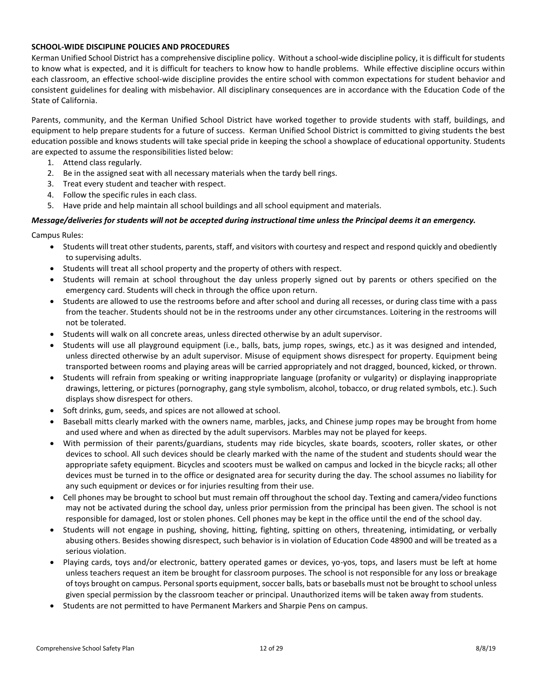#### **SCHOOL-WIDE DISCIPLINE POLICIES AND PROCEDURES**

Kerman Unified School District has a comprehensive discipline policy. Without a school-wide discipline policy, it is difficult for students to know what is expected, and it is difficult for teachers to know how to handle problems. While effective discipline occurs within each classroom, an effective school-wide discipline provides the entire school with common expectations for student behavior and consistent guidelines for dealing with misbehavior. All disciplinary consequences are in accordance with the Education Code of the State of California.

Parents, community, and the Kerman Unified School District have worked together to provide students with staff, buildings, and equipment to help prepare students for a future of success. Kerman Unified School District is committed to giving students the best education possible and knows students will take special pride in keeping the school a showplace of educational opportunity. Students are expected to assume the responsibilities listed below:

- 1. Attend class regularly.
- 2. Be in the assigned seat with all necessary materials when the tardy bell rings.
- 3. Treat every student and teacher with respect.
- 4. Follow the specific rules in each class.
- 5. Have pride and help maintain all school buildings and all school equipment and materials.

#### *Message/deliveries for students will not be accepted during instructional time unless the Principal deems it an emergency.*

Campus Rules:

- Students will treat other students, parents, staff, and visitors with courtesy and respect and respond quickly and obediently to supervising adults.
- Students will treat all school property and the property of others with respect.
- Students will remain at school throughout the day unless properly signed out by parents or others specified on the emergency card. Students will check in through the office upon return.
- Students are allowed to use the restrooms before and after school and during all recesses, or during class time with a pass from the teacher. Students should not be in the restrooms under any other circumstances. Loitering in the restrooms will not be tolerated.
- Students will walk on all concrete areas, unless directed otherwise by an adult supervisor.
- Students will use all playground equipment (i.e., balls, bats, jump ropes, swings, etc.) as it was designed and intended, unless directed otherwise by an adult supervisor. Misuse of equipment shows disrespect for property. Equipment being transported between rooms and playing areas will be carried appropriately and not dragged, bounced, kicked, or thrown.
- Students will refrain from speaking or writing inappropriate language (profanity or vulgarity) or displaying inappropriate drawings, lettering, or pictures (pornography, gang style symbolism, alcohol, tobacco, or drug related symbols, etc.). Such displays show disrespect for others.
- Soft drinks, gum, seeds, and spices are not allowed at school.
- Baseball mitts clearly marked with the owners name, marbles, jacks, and Chinese jump ropes may be brought from home and used where and when as directed by the adult supervisors. Marbles may not be played for keeps.
- With permission of their parents/guardians, students may ride bicycles, skate boards, scooters, roller skates, or other devices to school. All such devices should be clearly marked with the name of the student and students should wear the appropriate safety equipment. Bicycles and scooters must be walked on campus and locked in the bicycle racks; all other devices must be turned in to the office or designated area for security during the day. The school assumes no liability for any such equipment or devices or for injuries resulting from their use.
- Cell phones may be brought to school but must remain off throughout the school day. Texting and camera/video functions may not be activated during the school day, unless prior permission from the principal has been given. The school is not responsible for damaged, lost or stolen phones. Cell phones may be kept in the office until the end of the school day.
- Students will not engage in pushing, shoving, hitting, fighting, spitting on others, threatening, intimidating, or verbally abusing others. Besides showing disrespect, such behavior is in violation of Education Code 48900 and will be treated as a serious violation.
- Playing cards, toys and/or electronic, battery operated games or devices, yo-yos, tops, and lasers must be left at home unless teachers request an item be brought for classroom purposes. The school is not responsible for any loss or breakage of toys brought on campus. Personal sports equipment, soccer balls, bats or baseballs must not be brought to school unless given special permission by the classroom teacher or principal. Unauthorized items will be taken away from students.
- Students are not permitted to have Permanent Markers and Sharpie Pens on campus.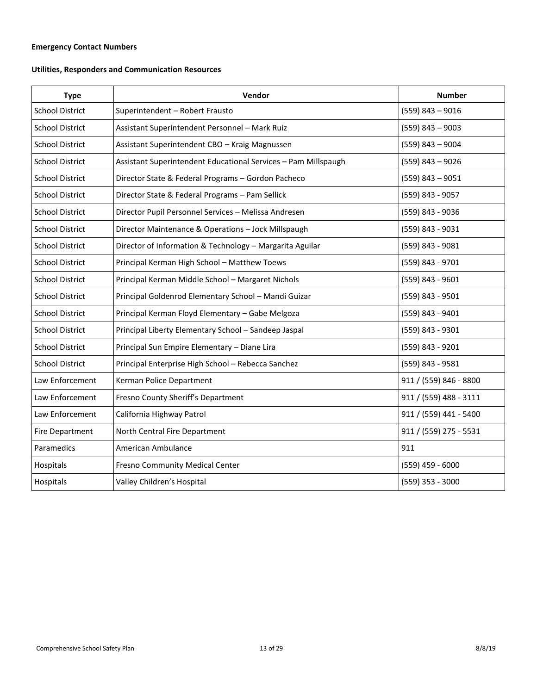# <span id="page-12-0"></span>**Emergency Contact Numbers**

# **Utilities, Responders and Communication Resources**

| <b>Type</b>            | Vendor                                                         | <b>Number</b>          |
|------------------------|----------------------------------------------------------------|------------------------|
| <b>School District</b> | Superintendent - Robert Frausto                                | $(559)$ 843 - 9016     |
| <b>School District</b> | Assistant Superintendent Personnel - Mark Ruiz                 | $(559)$ 843 - 9003     |
| <b>School District</b> | Assistant Superintendent CBO - Kraig Magnussen                 | $(559)$ 843 - 9004     |
| <b>School District</b> | Assistant Superintendent Educational Services - Pam Millspaugh | $(559)$ 843 - 9026     |
| <b>School District</b> | Director State & Federal Programs - Gordon Pacheco             | $(559)$ 843 - 9051     |
| <b>School District</b> | Director State & Federal Programs - Pam Sellick                | (559) 843 - 9057       |
| <b>School District</b> | Director Pupil Personnel Services - Melissa Andresen           | (559) 843 - 9036       |
| <b>School District</b> | Director Maintenance & Operations - Jock Millspaugh            | (559) 843 - 9031       |
| <b>School District</b> | Director of Information & Technology - Margarita Aguilar       | (559) 843 - 9081       |
| <b>School District</b> | Principal Kerman High School - Matthew Toews                   | (559) 843 - 9701       |
| <b>School District</b> | Principal Kerman Middle School - Margaret Nichols              | (559) 843 - 9601       |
| <b>School District</b> | Principal Goldenrod Elementary School - Mandi Guizar           | (559) 843 - 9501       |
| <b>School District</b> | Principal Kerman Floyd Elementary - Gabe Melgoza               | (559) 843 - 9401       |
| <b>School District</b> | Principal Liberty Elementary School - Sandeep Jaspal           | (559) 843 - 9301       |
| <b>School District</b> | Principal Sun Empire Elementary - Diane Lira                   | (559) 843 - 9201       |
| <b>School District</b> | Principal Enterprise High School - Rebecca Sanchez             | (559) 843 - 9581       |
| Law Enforcement        | Kerman Police Department                                       | 911 / (559) 846 - 8800 |
| Law Enforcement        | Fresno County Sheriff's Department                             | 911 / (559) 488 - 3111 |
| Law Enforcement        | California Highway Patrol                                      | 911 / (559) 441 - 5400 |
| <b>Fire Department</b> | North Central Fire Department                                  | 911 / (559) 275 - 5531 |
| Paramedics             | American Ambulance                                             | 911                    |
| Hospitals              | Fresno Community Medical Center                                | $(559)$ 459 - 6000     |
| Hospitals              | Valley Children's Hospital                                     | (559) 353 - 3000       |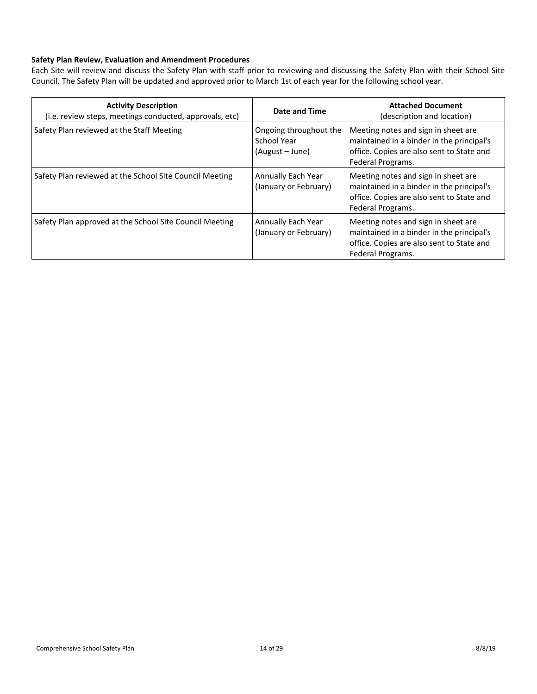## <span id="page-13-0"></span>**Safety Plan Review, Evaluation and Amendment Procedures**

Each Site will review and discuss the Safety Plan with staff prior to reviewing and discussing the Safety Plan with their School Site Council. The Safety Plan will be updated and approved prior to March 1st of each year for the following school year.

| <b>Activity Description</b><br>(i.e. review steps, meetings conducted, approvals, etc) | Date and Time                                            | <b>Attached Document</b><br>(description and location)                                                                                             |
|----------------------------------------------------------------------------------------|----------------------------------------------------------|----------------------------------------------------------------------------------------------------------------------------------------------------|
| Safety Plan reviewed at the Staff Meeting                                              | Ongoing throughout the<br>School Year<br>(August - June) | Meeting notes and sign in sheet are<br>maintained in a binder in the principal's<br>office. Copies are also sent to State and<br>Federal Programs. |
| Safety Plan reviewed at the School Site Council Meeting                                | Annually Each Year<br>(January or February)              | Meeting notes and sign in sheet are<br>maintained in a binder in the principal's<br>office. Copies are also sent to State and<br>Federal Programs. |
| Safety Plan approved at the School Site Council Meeting                                | Annually Each Year<br>(January or February)              | Meeting notes and sign in sheet are<br>maintained in a binder in the principal's<br>office. Copies are also sent to State and<br>Federal Programs. |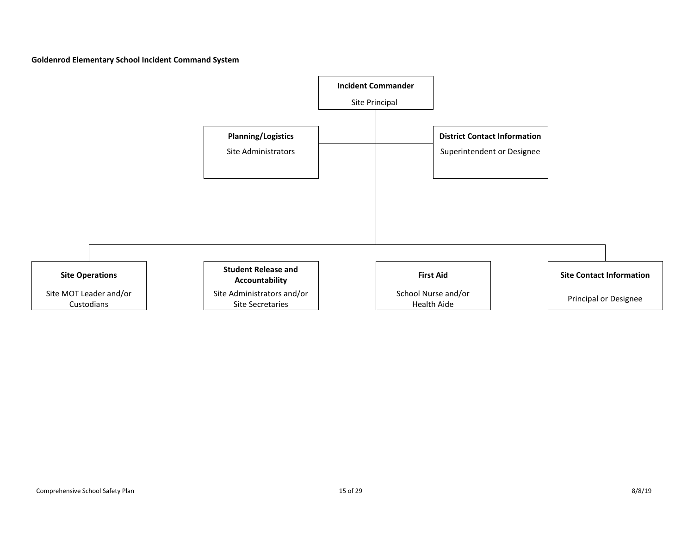**Goldenrod Elementary School Incident Command System**

<span id="page-14-0"></span>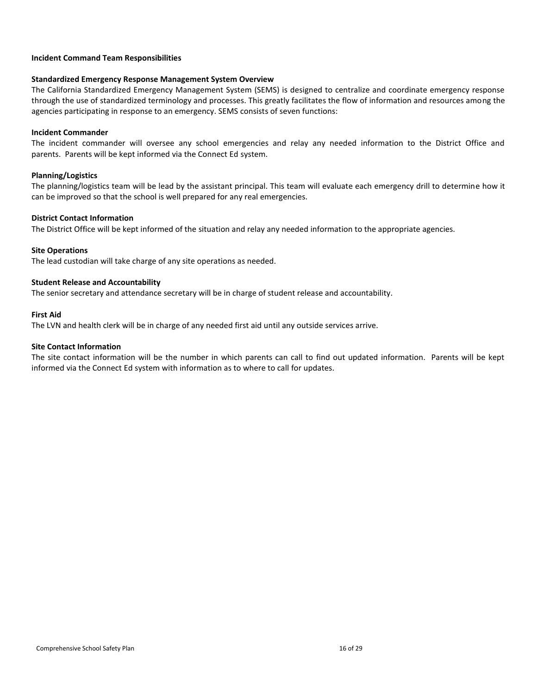#### <span id="page-15-0"></span>**Incident Command Team Responsibilities**

#### **Standardized Emergency Response Management System Overview**

The California Standardized Emergency Management System (SEMS) is designed to centralize and coordinate emergency response through the use of standardized terminology and processes. This greatly facilitates the flow of information and resources among the agencies participating in response to an emergency. SEMS consists of seven functions:

#### **Incident Commander**

The incident commander will oversee any school emergencies and relay any needed information to the District Office and parents. Parents will be kept informed via the Connect Ed system.

#### **Planning/Logistics**

The planning/logistics team will be lead by the assistant principal. This team will evaluate each emergency drill to determine how it can be improved so that the school is well prepared for any real emergencies.

#### **District Contact Information**

The District Office will be kept informed of the situation and relay any needed information to the appropriate agencies.

#### **Site Operations**

The lead custodian will take charge of any site operations as needed.

#### **Student Release and Accountability**

The senior secretary and attendance secretary will be in charge of student release and accountability.

#### **First Aid**

The LVN and health clerk will be in charge of any needed first aid until any outside services arrive.

#### **Site Contact Information**

The site contact information will be the number in which parents can call to find out updated information. Parents will be kept informed via the Connect Ed system with information as to where to call for updates.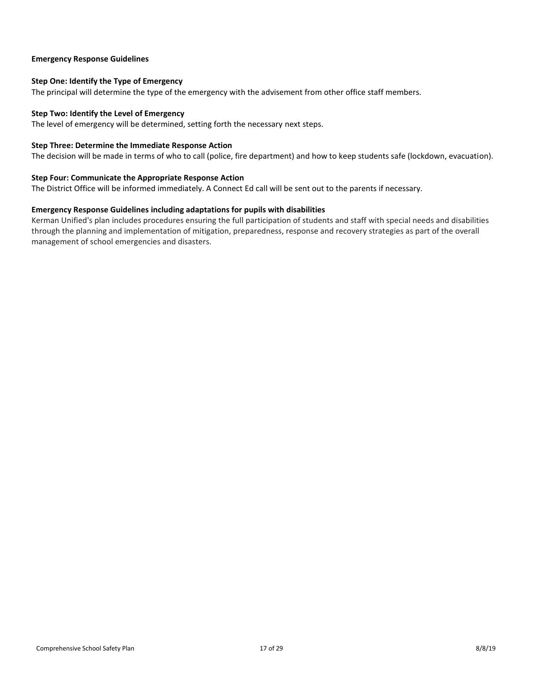#### <span id="page-16-0"></span>**Emergency Response Guidelines**

## <span id="page-16-1"></span>**Step One: Identify the Type of Emergency**

The principal will determine the type of the emergency with the advisement from other office staff members.

#### <span id="page-16-2"></span>**Step Two: Identify the Level of Emergency**

The level of emergency will be determined, setting forth the necessary next steps.

#### <span id="page-16-3"></span>**Step Three: Determine the Immediate Response Action**

The decision will be made in terms of who to call (police, fire department) and how to keep students safe (lockdown, evacuation).

#### <span id="page-16-4"></span>**Step Four: Communicate the Appropriate Response Action**

The District Office will be informed immediately. A Connect Ed call will be sent out to the parents if necessary.

#### <span id="page-16-5"></span>**Emergency Response Guidelines including adaptations for pupils with disabilities**

Kerman Unified's plan includes procedures ensuring the full participation of students and staff with special needs and disabilities through the planning and implementation of mitigation, preparedness, response and recovery strategies as part of the overall management of school emergencies and disasters.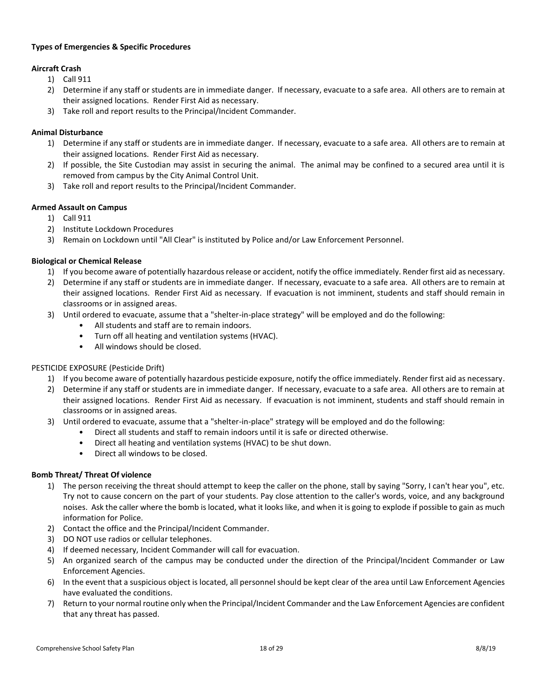## **Types of Emergencies & Specific Procedures**

## <span id="page-17-0"></span>**Aircraft Crash**

- 1) Call 911
- 2) Determine if any staff or students are in immediate danger. If necessary, evacuate to a safe area. All others are to remain at their assigned locations. Render First Aid as necessary.
- 3) Take roll and report results to the Principal/Incident Commander.

## <span id="page-17-1"></span>**Animal Disturbance**

- 1) Determine if any staff or students are in immediate danger. If necessary, evacuate to a safe area. All others are to remain at their assigned locations. Render First Aid as necessary.
- 2) If possible, the Site Custodian may assist in securing the animal. The animal may be confined to a secured area until it is removed from campus by the City Animal Control Unit.
- 3) Take roll and report results to the Principal/Incident Commander.

#### <span id="page-17-2"></span>**Armed Assault on Campus**

- 1) Call 911
- 2) Institute Lockdown Procedures
- 3) Remain on Lockdown until "All Clear" is instituted by Police and/or Law Enforcement Personnel.

#### <span id="page-17-3"></span>**Biological or Chemical Release**

- 1) If you become aware of potentially hazardous release or accident, notify the office immediately. Render first aid as necessary.
- 2) Determine if any staff or students are in immediate danger. If necessary, evacuate to a safe area. All others are to remain at their assigned locations. Render First Aid as necessary. If evacuation is not imminent, students and staff should remain in classrooms or in assigned areas.
- 3) Until ordered to evacuate, assume that a "shelter-in-place strategy" will be employed and do the following:
	- All students and staff are to remain indoors.
	- Turn off all heating and ventilation systems (HVAC).
	- All windows should be closed.

#### PESTICIDE EXPOSURE (Pesticide Drift)

- 1) If you become aware of potentially hazardous pesticide exposure, notify the office immediately. Render first aid as necessary.
- 2) Determine if any staff or students are in immediate danger. If necessary, evacuate to a safe area. All others are to remain at their assigned locations. Render First Aid as necessary. If evacuation is not imminent, students and staff should remain in classrooms or in assigned areas.
- 3) Until ordered to evacuate, assume that a "shelter-in-place" strategy will be employed and do the following:
	- Direct all students and staff to remain indoors until it is safe or directed otherwise.
	- Direct all heating and ventilation systems (HVAC) to be shut down.
	- Direct all windows to be closed.

#### <span id="page-17-4"></span>**Bomb Threat/ Threat Of violence**

- 1) The person receiving the threat should attempt to keep the caller on the phone, stall by saying "Sorry, I can't hear you", etc. Try not to cause concern on the part of your students. Pay close attention to the caller's words, voice, and any background noises. Ask the caller where the bomb is located, what it looks like, and when it is going to explode if possible to gain as much information for Police.
- 2) Contact the office and the Principal/Incident Commander.
- 3) DO NOT use radios or cellular telephones.
- 4) If deemed necessary, Incident Commander will call for evacuation.
- 5) An organized search of the campus may be conducted under the direction of the Principal/Incident Commander or Law Enforcement Agencies.
- 6) In the event that a suspicious object is located, all personnel should be kept clear of the area until Law Enforcement Agencies have evaluated the conditions.
- 7) Return to your normal routine only when the Principal/Incident Commander and the Law Enforcement Agencies are confident that any threat has passed.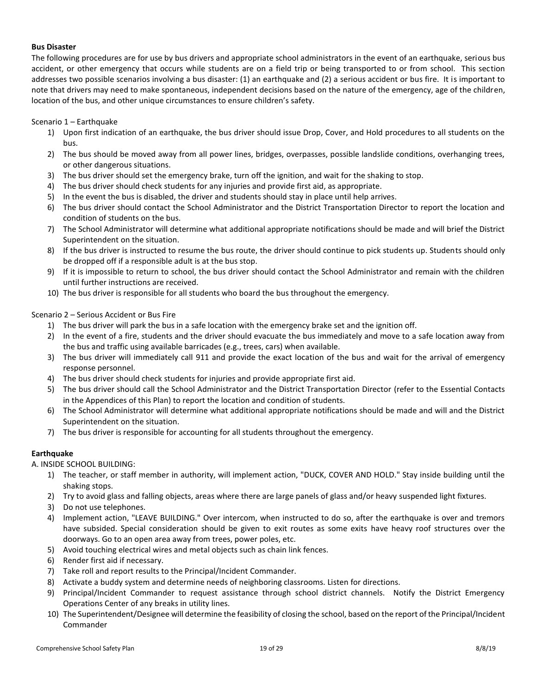#### <span id="page-18-0"></span>**Bus Disaster**

The following procedures are for use by bus drivers and appropriate school administrators in the event of an earthquake, serious bus accident, or other emergency that occurs while students are on a field trip or being transported to or from school. This section addresses two possible scenarios involving a bus disaster: (1) an earthquake and (2) a serious accident or bus fire. It is important to note that drivers may need to make spontaneous, independent decisions based on the nature of the emergency, age of the children, location of the bus, and other unique circumstances to ensure children's safety.

## Scenario 1 – Earthquake

- 1) Upon first indication of an earthquake, the bus driver should issue Drop, Cover, and Hold procedures to all students on the bus.
- 2) The bus should be moved away from all power lines, bridges, overpasses, possible landslide conditions, overhanging trees, or other dangerous situations.
- 3) The bus driver should set the emergency brake, turn off the ignition, and wait for the shaking to stop.
- 4) The bus driver should check students for any injuries and provide first aid, as appropriate.
- 5) In the event the bus is disabled, the driver and students should stay in place until help arrives.
- 6) The bus driver should contact the School Administrator and the District Transportation Director to report the location and condition of students on the bus.
- 7) The School Administrator will determine what additional appropriate notifications should be made and will brief the District Superintendent on the situation.
- 8) If the bus driver is instructed to resume the bus route, the driver should continue to pick students up. Students should only be dropped off if a responsible adult is at the bus stop.
- 9) If it is impossible to return to school, the bus driver should contact the School Administrator and remain with the children until further instructions are received.
- 10) The bus driver is responsible for all students who board the bus throughout the emergency.

## Scenario 2 – Serious Accident or Bus Fire

- 1) The bus driver will park the bus in a safe location with the emergency brake set and the ignition off.
- 2) In the event of a fire, students and the driver should evacuate the bus immediately and move to a safe location away from the bus and traffic using available barricades (e.g., trees, cars) when available.
- 3) The bus driver will immediately call 911 and provide the exact location of the bus and wait for the arrival of emergency response personnel.
- 4) The bus driver should check students for injuries and provide appropriate first aid.
- 5) The bus driver should call the School Administrator and the District Transportation Director (refer to the Essential Contacts in the Appendices of this Plan) to report the location and condition of students.
- 6) The School Administrator will determine what additional appropriate notifications should be made and will and the District Superintendent on the situation.
- 7) The bus driver is responsible for accounting for all students throughout the emergency.

## <span id="page-18-1"></span>**Earthquake**

A. INSIDE SCHOOL BUILDING:

- 1) The teacher, or staff member in authority, will implement action, "DUCK, COVER AND HOLD." Stay inside building until the shaking stops.
- 2) Try to avoid glass and falling objects, areas where there are large panels of glass and/or heavy suspended light fixtures.
- 3) Do not use telephones.
- 4) Implement action, "LEAVE BUILDING." Over intercom, when instructed to do so, after the earthquake is over and tremors have subsided. Special consideration should be given to exit routes as some exits have heavy roof structures over the doorways. Go to an open area away from trees, power poles, etc.
- 5) Avoid touching electrical wires and metal objects such as chain link fences.
- 6) Render first aid if necessary.
- 7) Take roll and report results to the Principal/Incident Commander.
- 8) Activate a buddy system and determine needs of neighboring classrooms. Listen for directions.
- 9) Principal/Incident Commander to request assistance through school district channels. Notify the District Emergency Operations Center of any breaks in utility lines.
- 10) The Superintendent/Designee will determine the feasibility of closing the school, based on the report of the Principal/Incident Commander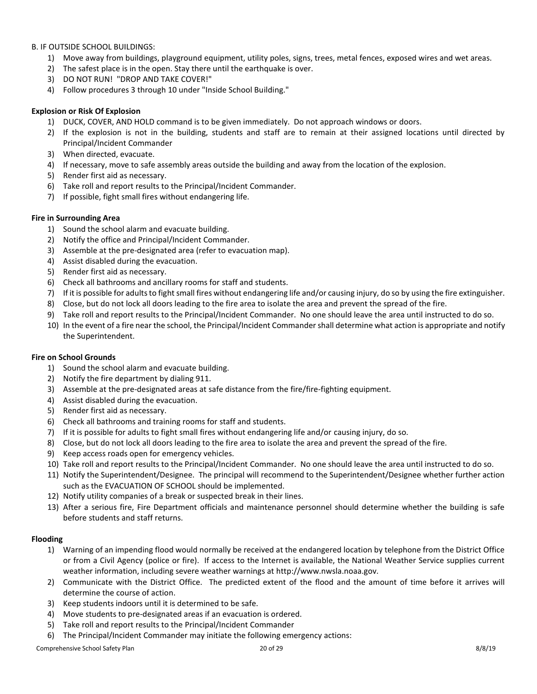B. IF OUTSIDE SCHOOL BUILDINGS:

- 1) Move away from buildings, playground equipment, utility poles, signs, trees, metal fences, exposed wires and wet areas.
- 2) The safest place is in the open. Stay there until the earthquake is over.
- 3) DO NOT RUN! "DROP AND TAKE COVER!"
- 4) Follow procedures 3 through 10 under "Inside School Building."

## <span id="page-19-0"></span>**Explosion or Risk Of Explosion**

- 1) DUCK, COVER, AND HOLD command is to be given immediately. Do not approach windows or doors.
- 2) If the explosion is not in the building, students and staff are to remain at their assigned locations until directed by Principal/Incident Commander
- 3) When directed, evacuate.
- 4) If necessary, move to safe assembly areas outside the building and away from the location of the explosion.
- 5) Render first aid as necessary.
- 6) Take roll and report results to the Principal/Incident Commander.
- 7) If possible, fight small fires without endangering life.

#### <span id="page-19-1"></span>**Fire in Surrounding Area**

- 1) Sound the school alarm and evacuate building.
- 2) Notify the office and Principal/Incident Commander.
- 3) Assemble at the pre-designated area (refer to evacuation map).
- 4) Assist disabled during the evacuation.
- 5) Render first aid as necessary.
- 6) Check all bathrooms and ancillary rooms for staff and students.
- 7) If it is possible for adults to fight small fires without endangering life and/or causing injury, do so by using the fire extinguisher.
- 8) Close, but do not lock all doors leading to the fire area to isolate the area and prevent the spread of the fire.
- 9) Take roll and report results to the Principal/Incident Commander. No one should leave the area until instructed to do so.
- 10) In the event of a fire near the school, the Principal/Incident Commander shall determine what action is appropriate and notify the Superintendent.

#### <span id="page-19-2"></span>**Fire on School Grounds**

- 1) Sound the school alarm and evacuate building.
- 2) Notify the fire department by dialing 911.
- 3) Assemble at the pre-designated areas at safe distance from the fire/fire-fighting equipment.
- 4) Assist disabled during the evacuation.
- 5) Render first aid as necessary.
- 6) Check all bathrooms and training rooms for staff and students.
- 7) If it is possible for adults to fight small fires without endangering life and/or causing injury, do so.
- 8) Close, but do not lock all doors leading to the fire area to isolate the area and prevent the spread of the fire.
- 9) Keep access roads open for emergency vehicles.
- 10) Take roll and report results to the Principal/Incident Commander. No one should leave the area until instructed to do so.
- 11) Notify the Superintendent/Designee. The principal will recommend to the Superintendent/Designee whether further action such as the EVACUATION OF SCHOOL should be implemented.
- 12) Notify utility companies of a break or suspected break in their lines.
- 13) After a serious fire, Fire Department officials and maintenance personnel should determine whether the building is safe before students and staff returns.

## <span id="page-19-3"></span>**Flooding**

- 1) Warning of an impending flood would normally be received at the endangered location by telephone from the District Office or from a Civil Agency (police or fire). If access to the Internet is available, the National Weather Service supplies current weather information, including severe weather warnings at http://www.nwsla.noaa.gov.
- 2) Communicate with the District Office. The predicted extent of the flood and the amount of time before it arrives will determine the course of action.
- 3) Keep students indoors until it is determined to be safe.
- 4) Move students to pre-designated areas if an evacuation is ordered.
- 5) Take roll and report results to the Principal/Incident Commander
- 6) The Principal/Incident Commander may initiate the following emergency actions: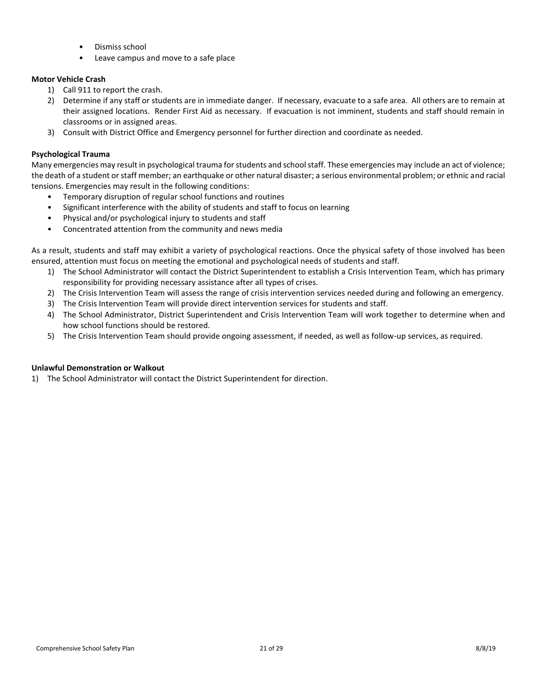- Dismiss school
- Leave campus and move to a safe place

## <span id="page-20-0"></span>**Motor Vehicle Crash**

- 1) Call 911 to report the crash.
- 2) Determine if any staff or students are in immediate danger. If necessary, evacuate to a safe area. All others are to remain at their assigned locations. Render First Aid as necessary. If evacuation is not imminent, students and staff should remain in classrooms or in assigned areas.
- 3) Consult with District Office and Emergency personnel for further direction and coordinate as needed.

## <span id="page-20-1"></span>**Psychological Trauma**

Many emergencies may result in psychological trauma for students and school staff. These emergencies may include an act of violence; the death of a student or staff member; an earthquake or other natural disaster; a serious environmental problem; or ethnic and racial tensions. Emergencies may result in the following conditions:

- Temporary disruption of regular school functions and routines
- Significant interference with the ability of students and staff to focus on learning
- Physical and/or psychological injury to students and staff
- Concentrated attention from the community and news media

As a result, students and staff may exhibit a variety of psychological reactions. Once the physical safety of those involved has been ensured, attention must focus on meeting the emotional and psychological needs of students and staff.

- 1) The School Administrator will contact the District Superintendent to establish a Crisis Intervention Team, which has primary responsibility for providing necessary assistance after all types of crises.
- 2) The Crisis Intervention Team will assess the range of crisis intervention services needed during and following an emergency.
- 3) The Crisis Intervention Team will provide direct intervention services for students and staff.
- 4) The School Administrator, District Superintendent and Crisis Intervention Team will work together to determine when and how school functions should be restored.
- 5) The Crisis Intervention Team should provide ongoing assessment, if needed, as well as follow-up services, as required.

## <span id="page-20-2"></span>**Unlawful Demonstration or Walkout**

1) The School Administrator will contact the District Superintendent for direction.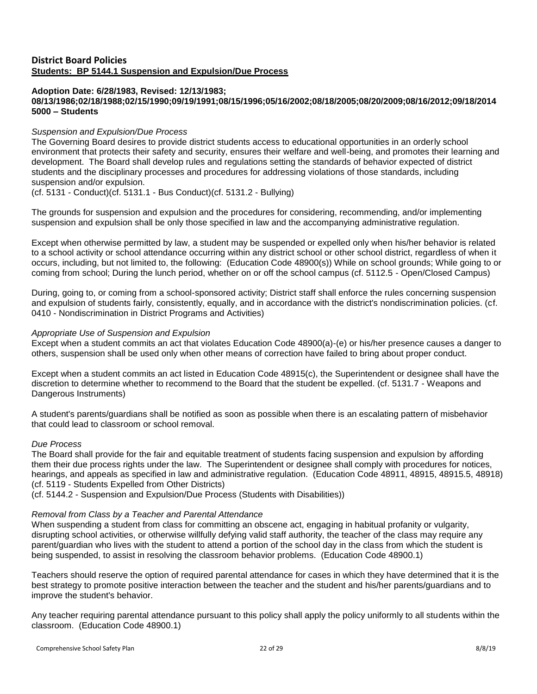## <span id="page-21-0"></span>**District Board Policies Students: BP 5144.1 Suspension and Expulsion/Due Process**

#### **Adoption Date: 6/28/1983, Revised: 12/13/1983; 08/13/1986;02/18/1988;02/15/1990;09/19/1991;08/15/1996;05/16/2002;08/18/2005;08/20/2009;08/16/2012;09/18/2014 5000 – Students**

## *Suspension and Expulsion/Due Process*

The Governing Board desires to provide district students access to educational opportunities in an orderly school environment that protects their safety and security, ensures their welfare and well-being, and promotes their learning and development. The Board shall develop rules and regulations setting the standards of behavior expected of district students and the disciplinary processes and procedures for addressing violations of those standards, including suspension and/or expulsion.

(cf. 5131 - Conduct)(cf. 5131.1 - Bus Conduct)(cf. 5131.2 - Bullying)

The grounds for suspension and expulsion and the procedures for considering, recommending, and/or implementing suspension and expulsion shall be only those specified in law and the accompanying administrative regulation.

Except when otherwise permitted by law, a student may be suspended or expelled only when his/her behavior is related to a school activity or school attendance occurring within any district school or other school district, regardless of when it occurs, including, but not limited to, the following: (Education Code 48900(s)) While on school grounds; While going to or coming from school; During the lunch period, whether on or off the school campus (cf. 5112.5 - Open/Closed Campus)

During, going to, or coming from a school-sponsored activity; District staff shall enforce the rules concerning suspension and expulsion of students fairly, consistently, equally, and in accordance with the district's nondiscrimination policies. (cf. 0410 - Nondiscrimination in District Programs and Activities)

## *Appropriate Use of Suspension and Expulsion*

Except when a student commits an act that violates Education Code 48900(a)-(e) or his/her presence causes a danger to others, suspension shall be used only when other means of correction have failed to bring about proper conduct.

Except when a student commits an act listed in Education Code 48915(c), the Superintendent or designee shall have the discretion to determine whether to recommend to the Board that the student be expelled. (cf. 5131.7 - Weapons and Dangerous Instruments)

A student's parents/guardians shall be notified as soon as possible when there is an escalating pattern of misbehavior that could lead to classroom or school removal.

## *Due Process*

The Board shall provide for the fair and equitable treatment of students facing suspension and expulsion by affording them their due process rights under the law. The Superintendent or designee shall comply with procedures for notices, hearings, and appeals as specified in law and administrative regulation. (Education Code 48911, 48915, 48915.5, 48918) (cf. 5119 - Students Expelled from Other Districts)

(cf. 5144.2 - Suspension and Expulsion/Due Process (Students with Disabilities))

## *Removal from Class by a Teacher and Parental Attendance*

When suspending a student from class for committing an obscene act, engaging in habitual profanity or vulgarity, disrupting school activities, or otherwise willfully defying valid staff authority, the teacher of the class may require any parent/guardian who lives with the student to attend a portion of the school day in the class from which the student is being suspended, to assist in resolving the classroom behavior problems. (Education Code 48900.1)

Teachers should reserve the option of required parental attendance for cases in which they have determined that it is the best strategy to promote positive interaction between the teacher and the student and his/her parents/guardians and to improve the student's behavior.

Any teacher requiring parental attendance pursuant to this policy shall apply the policy uniformly to all students within the classroom. (Education Code 48900.1)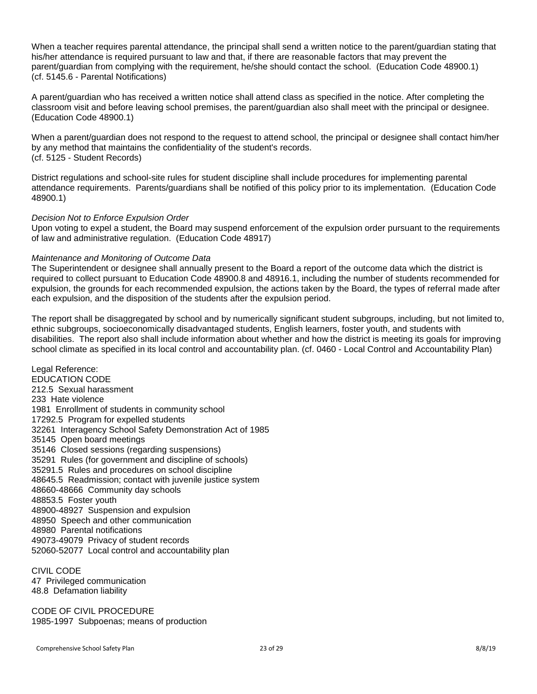When a teacher requires parental attendance, the principal shall send a written notice to the parent/guardian stating that his/her attendance is required pursuant to law and that, if there are reasonable factors that may prevent the parent/guardian from complying with the requirement, he/she should contact the school. (Education Code 48900.1) (cf. 5145.6 - Parental Notifications)

A parent/guardian who has received a written notice shall attend class as specified in the notice. After completing the classroom visit and before leaving school premises, the parent/guardian also shall meet with the principal or designee. (Education Code 48900.1)

When a parent/guardian does not respond to the request to attend school, the principal or designee shall contact him/her by any method that maintains the confidentiality of the student's records. (cf. 5125 - Student Records)

District regulations and school-site rules for student discipline shall include procedures for implementing parental attendance requirements. Parents/guardians shall be notified of this policy prior to its implementation. (Education Code 48900.1)

## *Decision Not to Enforce Expulsion Order*

Upon voting to expel a student, the Board may suspend enforcement of the expulsion order pursuant to the requirements of law and administrative regulation. (Education Code 48917)

## *Maintenance and Monitoring of Outcome Data*

The Superintendent or designee shall annually present to the Board a report of the outcome data which the district is required to collect pursuant to Education Code 48900.8 and 48916.1, including the number of students recommended for expulsion, the grounds for each recommended expulsion, the actions taken by the Board, the types of referral made after each expulsion, and the disposition of the students after the expulsion period.

The report shall be disaggregated by school and by numerically significant student subgroups, including, but not limited to, ethnic subgroups, socioeconomically disadvantaged students, English learners, foster youth, and students with disabilities. The report also shall include information about whether and how the district is meeting its goals for improving school climate as specified in its local control and accountability plan. (cf. 0460 - Local Control and Accountability Plan)

Legal Reference: EDUCATION CODE 212.5 Sexual harassment 233 Hate violence 1981 Enrollment of students in community school 17292.5 Program for expelled students 32261 Interagency School Safety Demonstration Act of 1985 35145 Open board meetings 35146 Closed sessions (regarding suspensions) 35291 Rules (for government and discipline of schools) 35291.5 Rules and procedures on school discipline 48645.5 Readmission; contact with juvenile justice system 48660-48666 Community day schools 48853.5 Foster youth 48900-48927 Suspension and expulsion 48950 Speech and other communication 48980 Parental notifications 49073-49079 Privacy of student records 52060-52077 Local control and accountability plan

CIVIL CODE 47 Privileged communication 48.8 Defamation liability

CODE OF CIVIL PROCEDURE 1985-1997 Subpoenas; means of production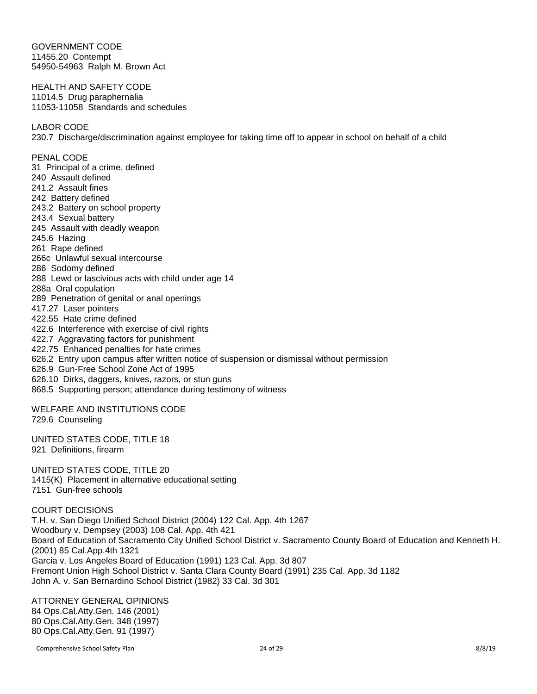GOVERNMENT CODE 11455.20 Contempt 54950-54963 Ralph M. Brown Act

HEALTH AND SAFETY CODE 11014.5 Drug paraphernalia 11053-11058 Standards and schedules

LABOR CODE

230.7 Discharge/discrimination against employee for taking time off to appear in school on behalf of a child

PENAL CODE 31 Principal of a crime, defined 240 Assault defined 241.2 Assault fines 242 Battery defined 243.2 Battery on school property 243.4 Sexual battery 245 Assault with deadly weapon 245.6 Hazing 261 Rape defined 266c Unlawful sexual intercourse 286 Sodomy defined 288 Lewd or lascivious acts with child under age 14 288a Oral copulation 289 Penetration of genital or anal openings 417.27 Laser pointers 422.55 Hate crime defined 422.6 Interference with exercise of civil rights 422.7 Aggravating factors for punishment 422.75 Enhanced penalties for hate crimes 626.2 Entry upon campus after written notice of suspension or dismissal without permission 626.9 Gun-Free School Zone Act of 1995 626.10 Dirks, daggers, knives, razors, or stun guns 868.5 Supporting person; attendance during testimony of witness

WELFARE AND INSTITUTIONS CODE 729.6 Counseling

UNITED STATES CODE, TITLE 18 921 Definitions, firearm

UNITED STATES CODE, TITLE 20 1415(K) Placement in alternative educational setting 7151 Gun-free schools

COURT DECISIONS T.H. v. San Diego Unified School District (2004) 122 Cal. App. 4th 1267 Woodbury v. Dempsey (2003) 108 Cal. App. 4th 421 Board of Education of Sacramento City Unified School District v. Sacramento County Board of Education and Kenneth H. (2001) 85 Cal.App.4th 1321 Garcia v. Los Angeles Board of Education (1991) 123 Cal. App. 3d 807 Fremont Union High School District v. Santa Clara County Board (1991) 235 Cal. App. 3d 1182 John A. v. San Bernardino School District (1982) 33 Cal. 3d 301

ATTORNEY GENERAL OPINIONS 84 Ops.Cal.Atty.Gen. 146 (2001) 80 Ops.Cal.Atty.Gen. 348 (1997) 80 Ops.Cal.Atty.Gen. 91 (1997)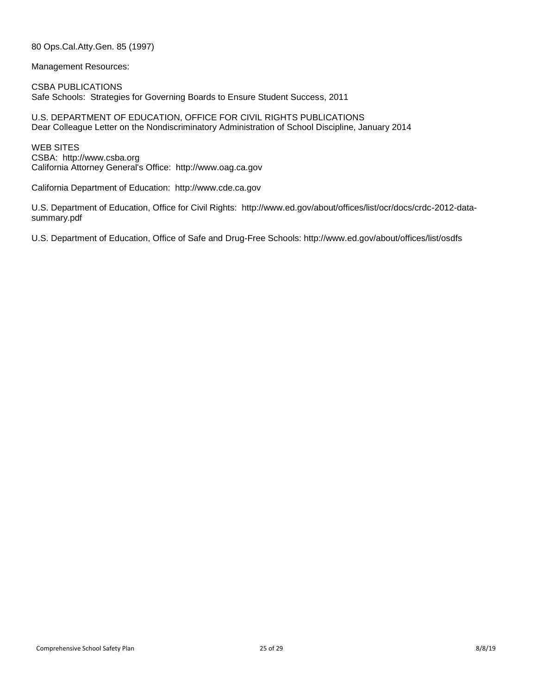80 Ops.Cal.Atty.Gen. 85 (1997)

Management Resources:

CSBA PUBLICATIONS Safe Schools: Strategies for Governing Boards to Ensure Student Success, 2011

U.S. DEPARTMENT OF EDUCATION, OFFICE FOR CIVIL RIGHTS PUBLICATIONS Dear Colleague Letter on the Nondiscriminatory Administration of School Discipline, January 2014

WEB SITES CSBA: http://www.csba.org California Attorney General's Office: http://www.oag.ca.gov

California Department of Education: http://www.cde.ca.gov

U.S. Department of Education, Office for Civil Rights: http://www.ed.gov/about/offices/list/ocr/docs/crdc-2012-datasummary.pdf

U.S. Department of Education, Office of Safe and Drug-Free Schools: http://www.ed.gov/about/offices/list/osdfs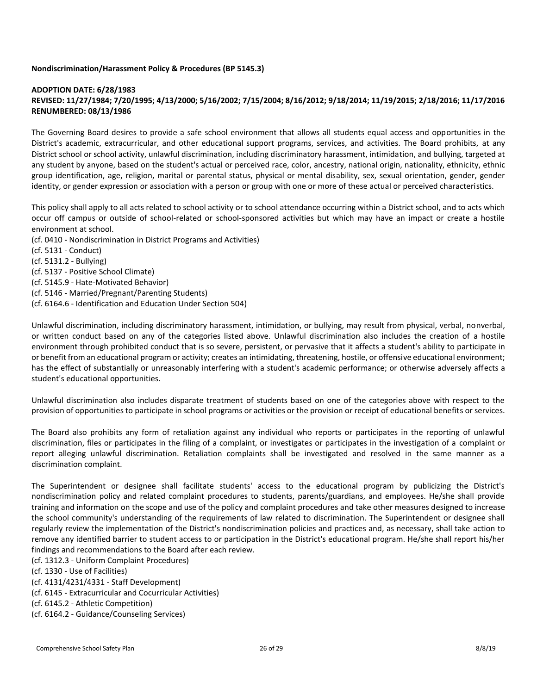## **Nondiscrimination/Harassment Policy & Procedures (BP 5145.3)**

## **ADOPTION DATE: 6/28/1983 REVISED: 11/27/1984; 7/20/1995; 4/13/2000; 5/16/2002; 7/15/2004; 8/16/2012; 9/18/2014; 11/19/2015; 2/18/2016; 11/17/2016 RENUMBERED: 08/13/1986**

The Governing Board desires to provide a safe school environment that allows all students equal access and opportunities in the District's academic, extracurricular, and other educational support programs, services, and activities. The Board prohibits, at any District school or school activity, unlawful discrimination, including discriminatory harassment, intimidation, and bullying, targeted at any student by anyone, based on the student's actual or perceived race, color, ancestry, national origin, nationality, ethnicity, ethnici group identification, age, religion, marital or parental status, physical or mental disability, sex, sexual orientation, gender, gender identity, or gender expression or association with a person or group with one or more of these actual or perceived characteristics.

This policy shall apply to all acts related to school activity or to school attendance occurring within a District school, and to acts which occur off campus or outside of school-related or school-sponsored activities but which may have an impact or create a hostile environment at school.

(cf. 0410 - Nondiscrimination in District Programs and Activities)

- (cf. 5131 Conduct)
- (cf. 5131.2 Bullying)
- (cf. 5137 Positive School Climate)
- (cf. 5145.9 Hate-Motivated Behavior)
- (cf. 5146 Married/Pregnant/Parenting Students)
- (cf. 6164.6 Identification and Education Under Section 504)

Unlawful discrimination, including discriminatory harassment, intimidation, or bullying, may result from physical, verbal, nonverbal, or written conduct based on any of the categories listed above. Unlawful discrimination also includes the creation of a hostile environment through prohibited conduct that is so severe, persistent, or pervasive that it affects a student's ability to participate in or benefit from an educational program or activity; creates an intimidating, threatening, hostile, or offensive educational environment; has the effect of substantially or unreasonably interfering with a student's academic performance; or otherwise adversely affects a student's educational opportunities.

Unlawful discrimination also includes disparate treatment of students based on one of the categories above with respect to the provision of opportunities to participate in school programs or activities or the provision or receipt of educational benefits or services.

The Board also prohibits any form of retaliation against any individual who reports or participates in the reporting of unlawful discrimination, files or participates in the filing of a complaint, or investigates or participates in the investigation of a complaint or report alleging unlawful discrimination. Retaliation complaints shall be investigated and resolved in the same manner as a discrimination complaint.

The Superintendent or designee shall facilitate students' access to the educational program by publicizing the District's nondiscrimination policy and related complaint procedures to students, parents/guardians, and employees. He/she shall provide training and information on the scope and use of the policy and complaint procedures and take other measures designed to increase the school community's understanding of the requirements of law related to discrimination. The Superintendent or designee shall regularly review the implementation of the District's nondiscrimination policies and practices and, as necessary, shall take action to remove any identified barrier to student access to or participation in the District's educational program. He/she shall report his/her findings and recommendations to the Board after each review.

(cf. 1312.3 - Uniform Complaint Procedures)

(cf. 1330 - Use of Facilities)

(cf. 4131/4231/4331 - Staff Development)

(cf. 6145 - Extracurricular and Cocurricular Activities)

(cf. 6145.2 - Athletic Competition)

(cf. 6164.2 - Guidance/Counseling Services)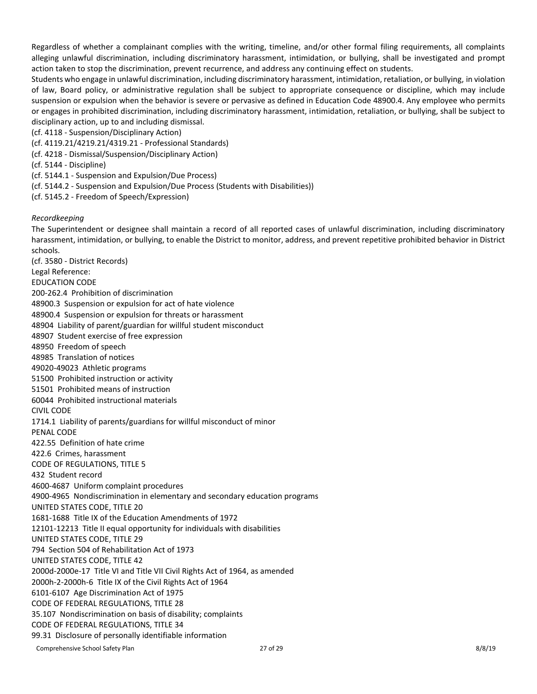Regardless of whether a complainant complies with the writing, timeline, and/or other formal filing requirements, all complaints alleging unlawful discrimination, including discriminatory harassment, intimidation, or bullying, shall be investigated and prompt action taken to stop the discrimination, prevent recurrence, and address any continuing effect on students.

Students who engage in unlawful discrimination, including discriminatory harassment, intimidation, retaliation, or bullying, in violation of law, Board policy, or administrative regulation shall be subject to appropriate consequence or discipline, which may include suspension or expulsion when the behavior is severe or pervasive as defined in Education Code 48900.4. Any employee who permits or engages in prohibited discrimination, including discriminatory harassment, intimidation, retaliation, or bullying, shall be subject to disciplinary action, up to and including dismissal.

(cf. 4118 - Suspension/Disciplinary Action)

- (cf. 4119.21/4219.21/4319.21 Professional Standards)
- (cf. 4218 Dismissal/Suspension/Disciplinary Action)

(cf. 5144 - Discipline)

- (cf. 5144.1 Suspension and Expulsion/Due Process)
- (cf. 5144.2 Suspension and Expulsion/Due Process (Students with Disabilities))
- (cf. 5145.2 Freedom of Speech/Expression)

#### *Recordkeeping*

The Superintendent or designee shall maintain a record of all reported cases of unlawful discrimination, including discriminatory harassment, intimidation, or bullying, to enable the District to monitor, address, and prevent repetitive prohibited behavior in District schools. (cf. 3580 - District Records)

Legal Reference:

EDUCATION CODE

200-262.4 Prohibition of discrimination

48900.3 Suspension or expulsion for act of hate violence

48900.4 Suspension or expulsion for threats or harassment

- 48904 Liability of parent/guardian for willful student misconduct
- 48907 Student exercise of free expression
- 48950 Freedom of speech
- 48985 Translation of notices
- 49020-49023 Athletic programs
- 51500 Prohibited instruction or activity
- 51501 Prohibited means of instruction
- 60044 Prohibited instructional materials

#### CIVIL CODE

1714.1 Liability of parents/guardians for willful misconduct of minor

PENAL CODE

422.55 Definition of hate crime

422.6 Crimes, harassment

CODE OF REGULATIONS, TITLE 5

432 Student record

4600-4687 Uniform complaint procedures

4900-4965 Nondiscrimination in elementary and secondary education programs

UNITED STATES CODE, TITLE 20

1681-1688 Title IX of the Education Amendments of 1972

12101-12213 Title II equal opportunity for individuals with disabilities

UNITED STATES CODE, TITLE 29

794 Section 504 of Rehabilitation Act of 1973

UNITED STATES CODE, TITLE 42

2000d-2000e-17 Title VI and Title VII Civil Rights Act of 1964, as amended

2000h-2-2000h-6 Title IX of the Civil Rights Act of 1964

6101-6107 Age Discrimination Act of 1975

CODE OF FEDERAL REGULATIONS, TITLE 28

35.107 Nondiscrimination on basis of disability; complaints

CODE OF FEDERAL REGULATIONS, TITLE 34

99.31 Disclosure of personally identifiable information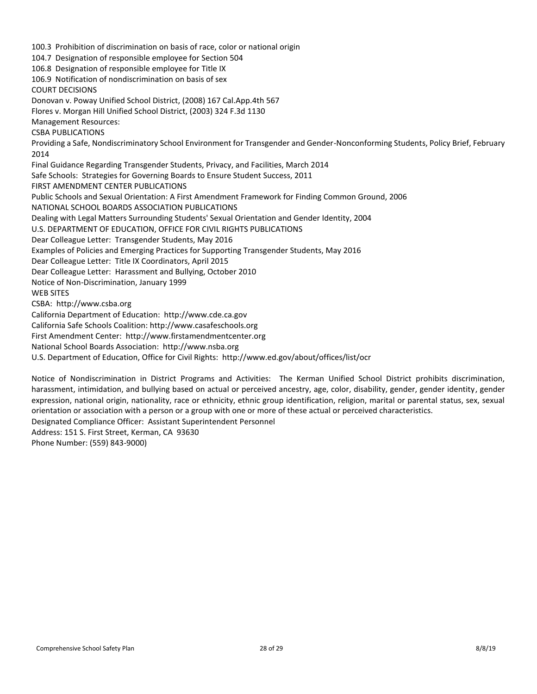100.3 Prohibition of discrimination on basis of race, color or national origin 104.7 Designation of responsible employee for Section 504 106.8 Designation of responsible employee for Title IX 106.9 Notification of nondiscrimination on basis of sex COURT DECISIONS Donovan v. Poway Unified School District, (2008) 167 Cal.App.4th 567 Flores v. Morgan Hill Unified School District, (2003) 324 F.3d 1130 Management Resources: CSBA PUBLICATIONS Providing a Safe, Nondiscriminatory School Environment for Transgender and Gender-Nonconforming Students, Policy Brief, February 2014 Final Guidance Regarding Transgender Students, Privacy, and Facilities, March 2014 Safe Schools: Strategies for Governing Boards to Ensure Student Success, 2011 FIRST AMENDMENT CENTER PUBLICATIONS Public Schools and Sexual Orientation: A First Amendment Framework for Finding Common Ground, 2006 NATIONAL SCHOOL BOARDS ASSOCIATION PUBLICATIONS Dealing with Legal Matters Surrounding Students' Sexual Orientation and Gender Identity, 2004 U.S. DEPARTMENT OF EDUCATION, OFFICE FOR CIVIL RIGHTS PUBLICATIONS Dear Colleague Letter: Transgender Students, May 2016 Examples of Policies and Emerging Practices for Supporting Transgender Students, May 2016 Dear Colleague Letter: Title IX Coordinators, April 2015 Dear Colleague Letter: Harassment and Bullying, October 2010 Notice of Non-Discrimination, January 1999 WEB SITES CSBA: http://www.csba.org California Department of Education: http://www.cde.ca.gov California Safe Schools Coalition: http://www.casafeschools.org First Amendment Center: http://www.firstamendmentcenter.org National School Boards Association: http://www.nsba.org U.S. Department of Education, Office for Civil Rights: http://www.ed.gov/about/offices/list/ocr

Notice of Nondiscrimination in District Programs and Activities: The Kerman Unified School District prohibits discrimination, harassment, intimidation, and bullying based on actual or perceived ancestry, age, color, disability, gender, gender identity, gender expression, national origin, nationality, race or ethnicity, ethnic group identification, religion, marital or parental status, sex, sexual orientation or association with a person or a group with one or more of these actual or perceived characteristics.

Designated Compliance Officer: Assistant Superintendent Personnel Address: 151 S. First Street, Kerman, CA 93630

Phone Number: (559) 843-9000)